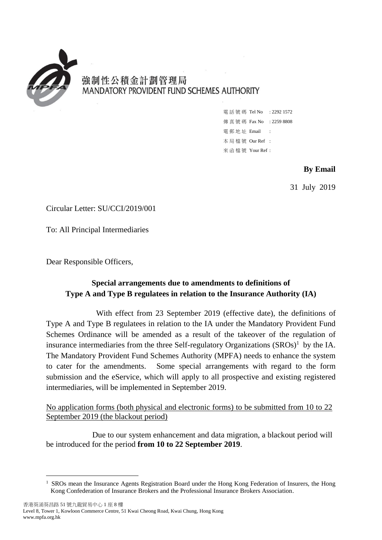

-

# 強制性公積金計劃管理局 MANDATORY PROVIDENT FUND SCHEMES AUTHORITY

電話號碼 Tel No : 2292 1572 傳真號碼 Fax No : 2259 8808 電 郵 地 址 Email : 本 局 檔 號 Our Ref : 來 函 檔 號 Your Ref :

## **By Email**

31 July 2019

Circular Letter: SU/CCI/2019/001

To: All Principal Intermediaries

Dear Responsible Officers,

# **Special arrangements due to amendments to definitions of Type A and Type B regulatees in relation to the Insurance Authority (IA)**

 With effect from 23 September 2019 (effective date), the definitions of Type A and Type B regulatees in relation to the IA under the Mandatory Provident Fund Schemes Ordinance will be amended as a result of the takeover of the regulation of insurance intermediaries from the three Self-regulatory Organizations  $(SROS)^1$  by the IA. The Mandatory Provident Fund Schemes Authority (MPFA) needs to enhance the system to cater for the amendments. Some special arrangements with regard to the form submission and the eService, which will apply to all prospective and existing registered intermediaries, will be implemented in September 2019.

No application forms (both physical and electronic forms) to be submitted from 10 to 22 September 2019 (the blackout period)

Due to our system enhancement and data migration, a blackout period will be introduced for the period **from 10 to 22 September 2019**.

 Kong Confederation of Insurance Brokers and the Professional Insurance Brokers Association. 1 SROs mean the Insurance Agents Registration Board under the Hong Kong Federation of Insurers, the Hong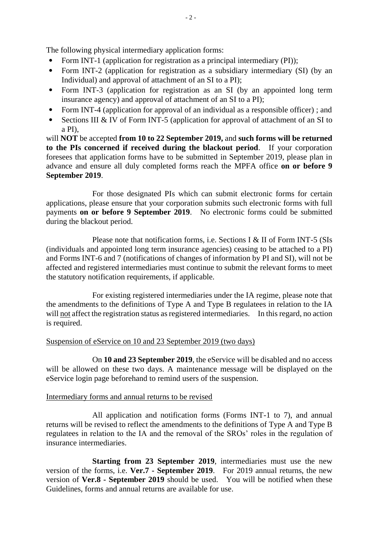The following physical intermediary application forms:

- Form INT-1 (application for registration as a principal intermediary (PI));
- Form INT-2 (application for registration as a subsidiary intermediary (SI) (by an Individual) and approval of attachment of an SI to a PI);
- Form INT-3 (application for registration as an SI (by an appointed long term insurance agency) and approval of attachment of an SI to a PI);
- Form INT-4 (application for approval of an individual as a responsible officer); and
- Sections III & IV of Form INT-5 (application for approval of attachment of an SI to a PI),

 will **NOT** be accepted **from 10 to 22 September 2019,** and **such forms will be returned to the PIs concerned if received during the blackout period**. If your corporation foresees that application forms have to be submitted in September 2019, please plan in advance and ensure all duly completed forms reach the MPFA office **on or before 9 September 2019**.

 For those designated PIs which can submit electronic forms for certain applications, please ensure that your corporation submits such electronic forms with full payments **on or before 9 September 2019**. No electronic forms could be submitted during the blackout period.

 Please note that notification forms, i.e. Sections I & II of Form INT-5 (SIs (individuals and appointed long term insurance agencies) ceasing to be attached to a PI) and Forms INT-6 and 7 (notifications of changes of information by PI and SI), will not be affected and registered intermediaries must continue to submit the relevant forms to meet the statutory notification requirements, if applicable.

will not affect the registration status as registered intermediaries. In this regard, no action For existing registered intermediaries under the IA regime, please note that the amendments to the definitions of Type A and Type B regulatees in relation to the IA is required.

## Suspension of eService on 10 and 23 September 2019 (two days)

 will be allowed on these two days. A maintenance message will be displayed on the On **10 and 23 September 2019**, the eService will be disabled and no access eService login page beforehand to remind users of the suspension.

#### Intermediary forms and annual returns to be revised

 All application and notification forms (Forms INT-1 to 7), and annual returns will be revised to reflect the amendments to the definitions of Type A and Type B regulatees in relation to the IA and the removal of the SROs' roles in the regulation of insurance intermediaries.

 version of **Ver.8 - September 2019** should be used. You will be notified when these **Starting from 23 September 2019**, intermediaries must use the new version of the forms, i.e. **Ver.7 - September 2019**. For 2019 annual returns, the new Guidelines, forms and annual returns are available for use.